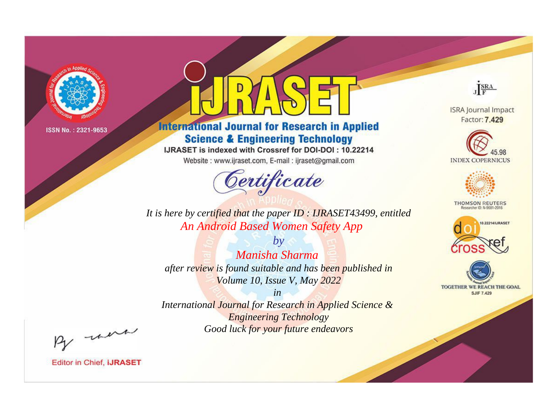

# **International Journal for Research in Applied Science & Engineering Technology**

IJRASET is indexed with Crossref for DOI-DOI: 10.22214

Website: www.ijraset.com, E-mail: ijraset@gmail.com



JERA

**ISRA Journal Impact** Factor: 7.429





**THOMSON REUTERS** 



TOGETHER WE REACH THE GOAL **SJIF 7.429** 

*It is here by certified that the paper ID : IJRASET43499, entitled An Android Based Women Safety App*

*by Manisha Sharma after review is found suitable and has been published in Volume 10, Issue V, May 2022*

*in* 

*International Journal for Research in Applied Science & Engineering Technology Good luck for your future endeavors*

By morn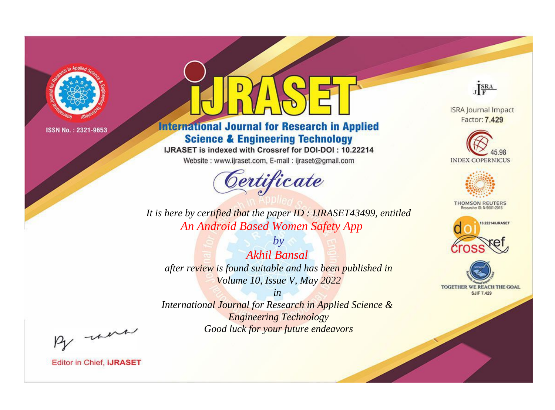

# **International Journal for Research in Applied Science & Engineering Technology**

IJRASET is indexed with Crossref for DOI-DOI: 10.22214

Website: www.ijraset.com, E-mail: ijraset@gmail.com



JERA

**ISRA Journal Impact** Factor: 7.429





**THOMSON REUTERS** 



TOGETHER WE REACH THE GOAL **SJIF 7.429** 

*It is here by certified that the paper ID : IJRASET43499, entitled An Android Based Women Safety App*

*by Akhil Bansal after review is found suitable and has been published in Volume 10, Issue V, May 2022*

*in* 

*International Journal for Research in Applied Science & Engineering Technology Good luck for your future endeavors*

By morn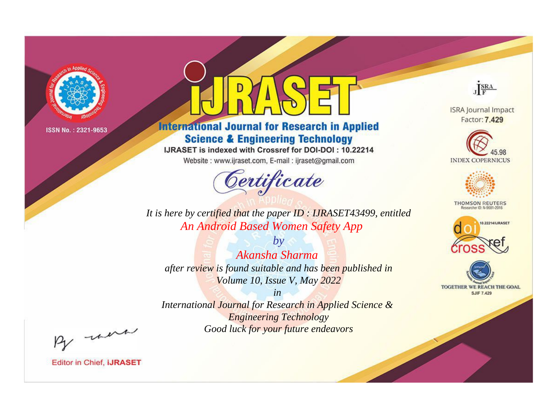

# **International Journal for Research in Applied Science & Engineering Technology**

IJRASET is indexed with Crossref for DOI-DOI: 10.22214

Website: www.ijraset.com, E-mail: ijraset@gmail.com



JERA

**ISRA Journal Impact** Factor: 7.429





**THOMSON REUTERS** 



TOGETHER WE REACH THE GOAL **SJIF 7.429** 

*It is here by certified that the paper ID : IJRASET43499, entitled An Android Based Women Safety App*

*by Akansha Sharma after review is found suitable and has been published in Volume 10, Issue V, May 2022*

*in* 

*International Journal for Research in Applied Science & Engineering Technology Good luck for your future endeavors*

By morn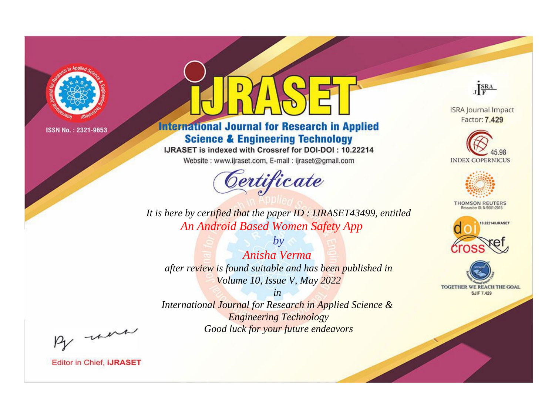

# **International Journal for Research in Applied Science & Engineering Technology**

IJRASET is indexed with Crossref for DOI-DOI: 10.22214

Website: www.ijraset.com, E-mail: ijraset@gmail.com



JERA

**ISRA Journal Impact** Factor: 7.429





**THOMSON REUTERS** 



TOGETHER WE REACH THE GOAL **SJIF 7.429** 

*It is here by certified that the paper ID : IJRASET43499, entitled An Android Based Women Safety App*

*by Anisha Verma after review is found suitable and has been published in Volume 10, Issue V, May 2022*

*in* 

*International Journal for Research in Applied Science & Engineering Technology Good luck for your future endeavors*

By morn